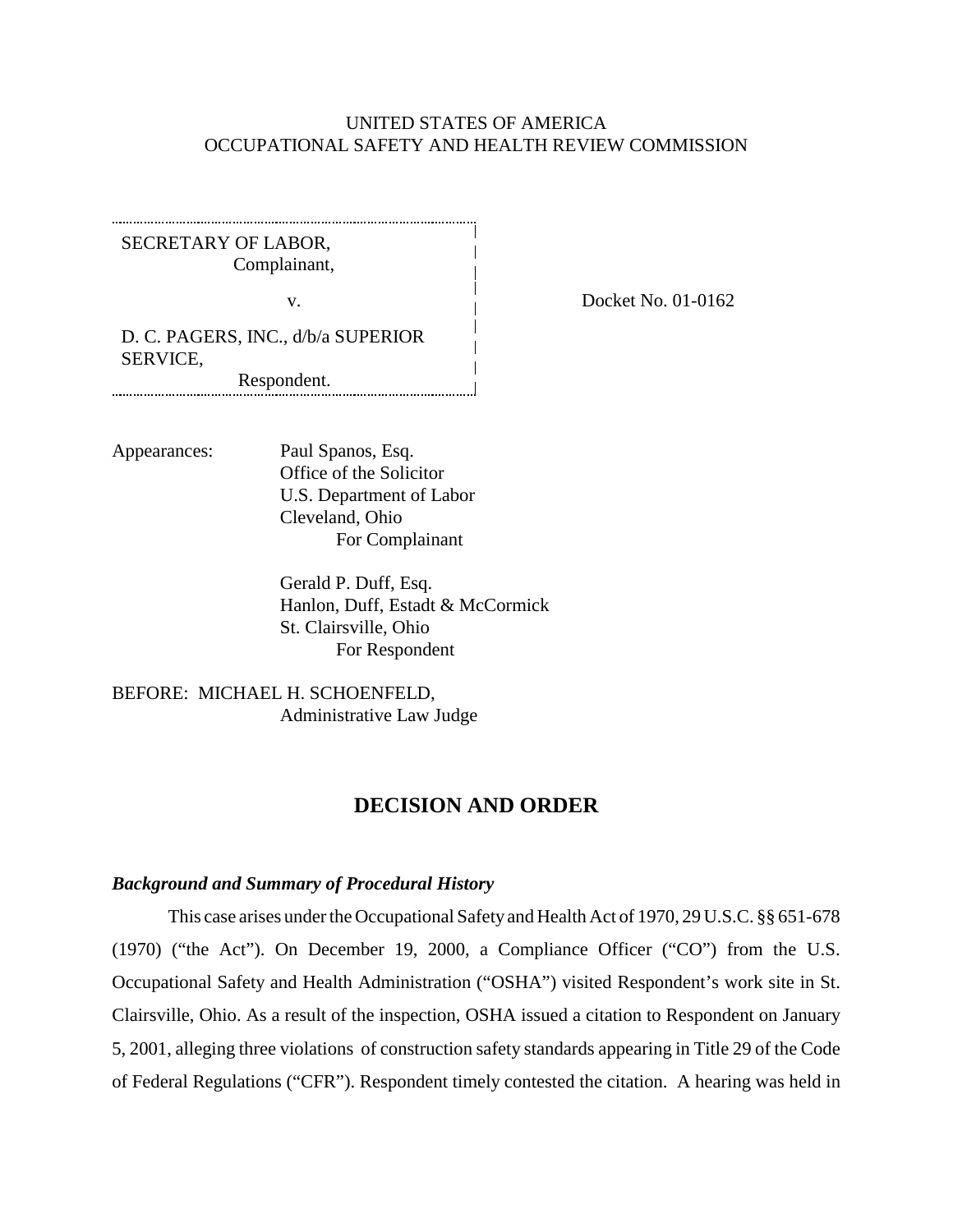### UNITED STATES OF AMERICA OCCUPATIONAL SAFETY AND HEALTH REVIEW COMMISSION

SECRETARY OF LABOR, Complainant,

v.

Docket No. 01-0162

D. C. PAGERS, INC., d/b/a SUPERIOR SERVICE,

Respondent.

Appearances: Paul Spanos, Esq. Office of the Solicitor U.S. Department of Labor Cleveland, Ohio For Complainant

> Gerald P. Duff, Esq. Hanlon, Duff, Estadt & McCormick St. Clairsville, Ohio For Respondent

BEFORE: MICHAEL H. SCHOENFELD, Administrative Law Judge

## **DECISION AND ORDER**

#### *Background and Summary of Procedural History*

This case arises under the Occupational Safety and Health Act of 1970, 29 U.S.C. §§ 651-678 (1970) ("the Act"). On December 19, 2000, a Compliance Officer ("CO") from the U.S. Occupational Safety and Health Administration ("OSHA") visited Respondent's work site in St. Clairsville, Ohio. As a result of the inspection, OSHA issued a citation to Respondent on January 5, 2001, alleging three violations of construction safety standards appearing in Title 29 of the Code of Federal Regulations ("CFR"). Respondent timely contested the citation. A hearing was held in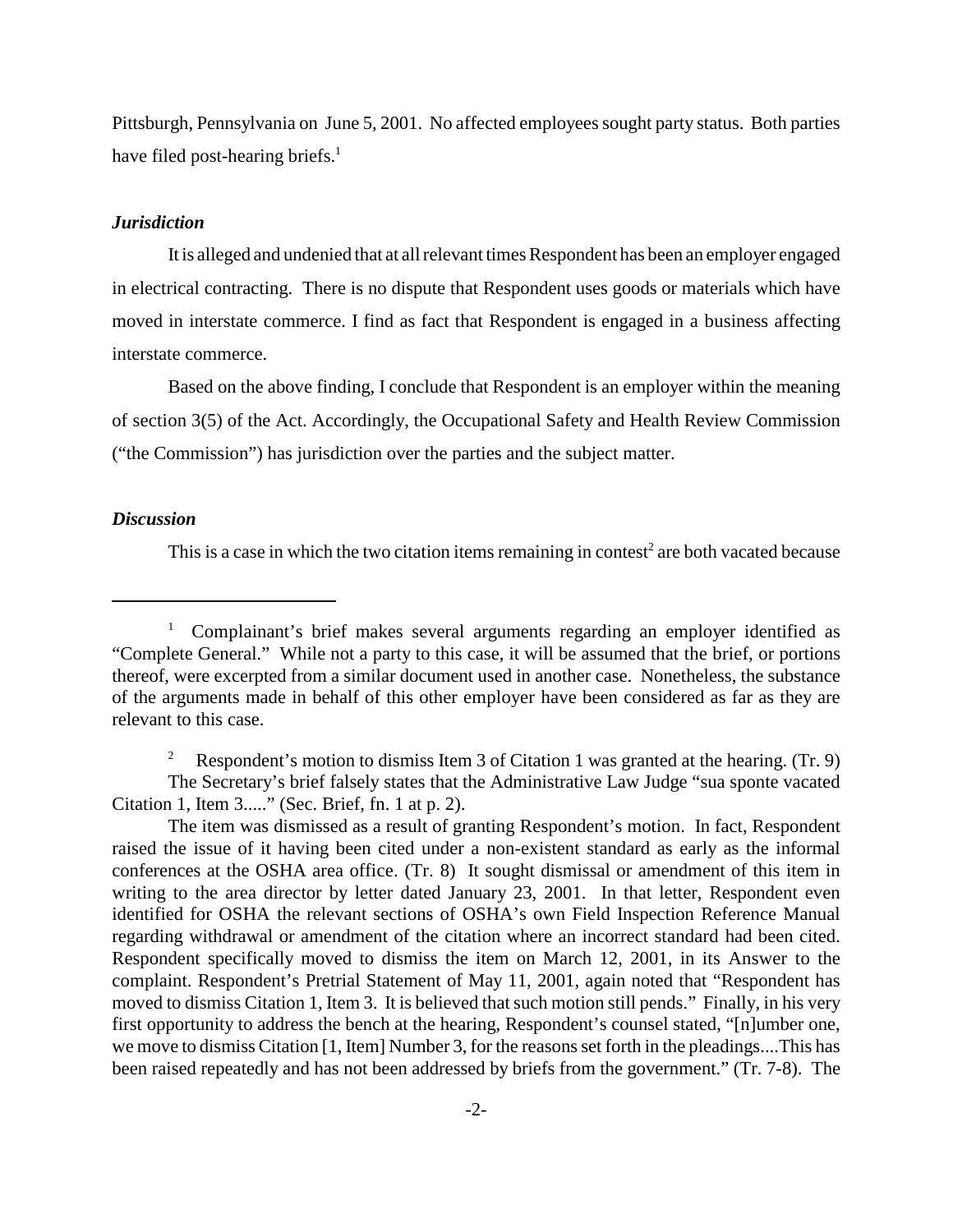Pittsburgh, Pennsylvania on June 5, 2001. No affected employees sought party status. Both parties have filed post-hearing briefs. $<sup>1</sup>$ </sup>

#### *Jurisdiction*

It is alleged and undenied that at all relevant times Respondent has been an employer engaged in electrical contracting. There is no dispute that Respondent uses goods or materials which have moved in interstate commerce. I find as fact that Respondent is engaged in a business affecting interstate commerce.

Based on the above finding, I conclude that Respondent is an employer within the meaning of section 3(5) of the Act. Accordingly, the Occupational Safety and Health Review Commission ("the Commission") has jurisdiction over the parties and the subject matter.

#### *Discussion*

This is a case in which the two citation items remaining in contest<sup>2</sup> are both vacated because

<sup>2</sup> Respondent's motion to dismiss Item 3 of Citation 1 was granted at the hearing. (Tr. 9) The Secretary's brief falsely states that the Administrative Law Judge "sua sponte vacated Citation 1, Item 3....." (Sec. Brief, fn. 1 at p. 2).

The item was dismissed as a result of granting Respondent's motion. In fact, Respondent raised the issue of it having been cited under a non-existent standard as early as the informal conferences at the OSHA area office. (Tr. 8) It sought dismissal or amendment of this item in writing to the area director by letter dated January 23, 2001. In that letter, Respondent even identified for OSHA the relevant sections of OSHA's own Field Inspection Reference Manual regarding withdrawal or amendment of the citation where an incorrect standard had been cited. Respondent specifically moved to dismiss the item on March 12, 2001, in its Answer to the complaint. Respondent's Pretrial Statement of May 11, 2001, again noted that "Respondent has moved to dismiss Citation 1, Item 3. It is believed that such motion still pends." Finally, in his very first opportunity to address the bench at the hearing, Respondent's counsel stated, "[n]umber one, we move to dismiss Citation [1, Item] Number 3, for the reasons set forth in the pleadings....This has been raised repeatedly and has not been addressed by briefs from the government." (Tr. 7-8). The

<sup>&</sup>lt;sup>1</sup> Complainant's brief makes several arguments regarding an employer identified as "Complete General." While not a party to this case, it will be assumed that the brief, or portions thereof, were excerpted from a similar document used in another case. Nonetheless, the substance of the arguments made in behalf of this other employer have been considered as far as they are relevant to this case.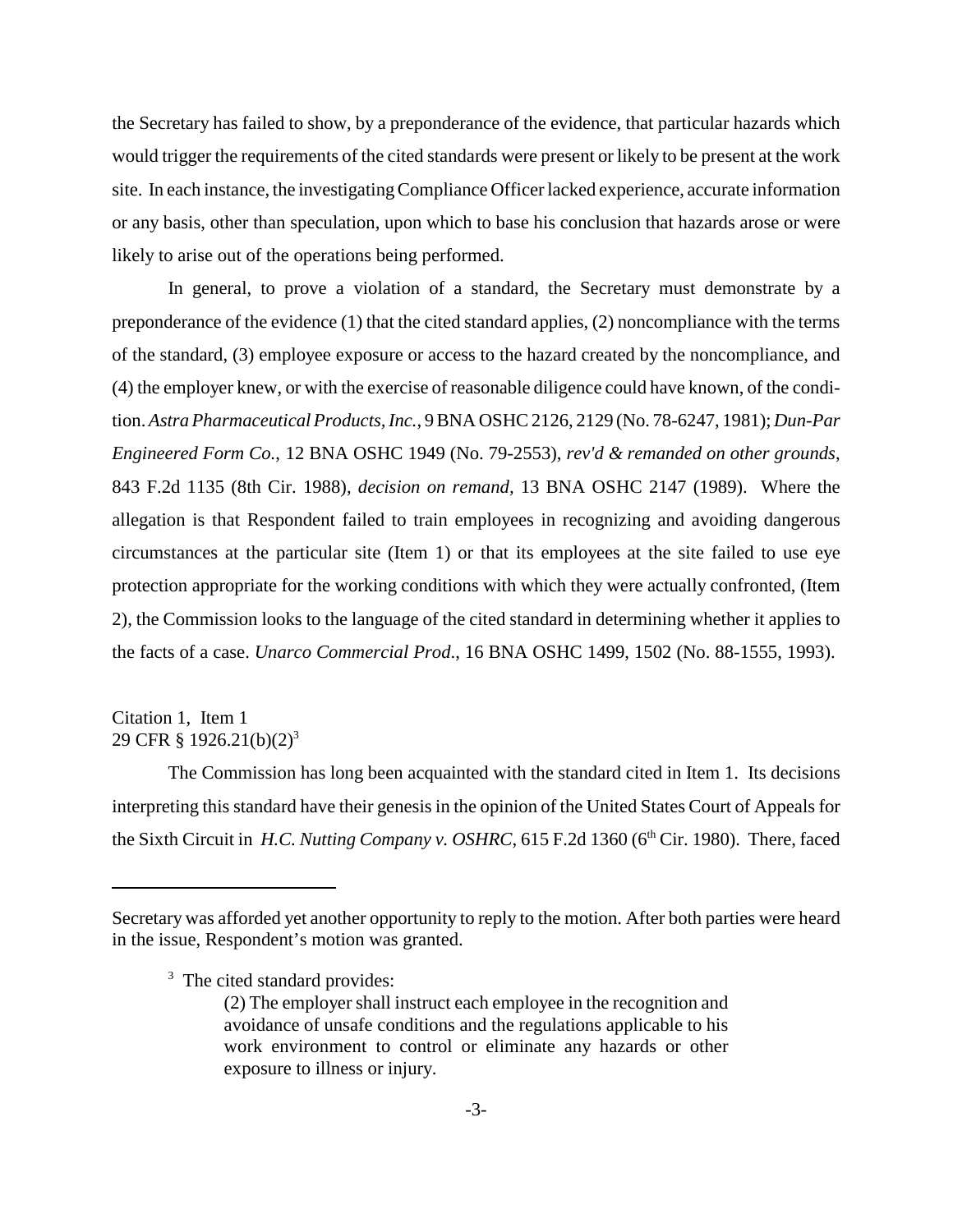the Secretary has failed to show, by a preponderance of the evidence, that particular hazards which would trigger the requirements of the cited standards were present or likely to be present at the work site. In each instance, the investigating Compliance Officer lacked experience, accurate information or any basis, other than speculation, upon which to base his conclusion that hazards arose or were likely to arise out of the operations being performed.

In general, to prove a violation of a standard, the Secretary must demonstrate by a preponderance of the evidence (1) that the cited standard applies, (2) noncompliance with the terms of the standard, (3) employee exposure or access to the hazard created by the noncompliance, and (4) the employer knew, or with the exercise of reasonable diligence could have known, of the condition. *Astra Pharmaceutical Products, Inc.*, 9 BNA OSHC 2126, 2129 (No. 78-6247, 1981); *Dun-Par Engineered Form Co.*, 12 BNA OSHC 1949 (No. 79-2553), *rev'd & remanded on other grounds*, 843 F.2d 1135 (8th Cir. 1988), *decision on remand,* 13 BNA OSHC 2147 (1989). Where the allegation is that Respondent failed to train employees in recognizing and avoiding dangerous circumstances at the particular site (Item 1) or that its employees at the site failed to use eye protection appropriate for the working conditions with which they were actually confronted, (Item 2), the Commission looks to the language of the cited standard in determining whether it applies to the facts of a case. *Unarco Commercial Prod*., 16 BNA OSHC 1499, 1502 (No. 88-1555, 1993).

## Citation 1, Item 1 29 CFR  $\S$  1926.21(b)(2)<sup>3</sup>

The Commission has long been acquainted with the standard cited in Item 1. Its decisions interpreting this standard have their genesis in the opinion of the United States Court of Appeals for the Sixth Circuit in *H.C. Nutting Company v. OSHRC*, 615 F.2d 1360 (6<sup>th</sup> Cir. 1980). There, faced

Secretary was afforded yet another opportunity to reply to the motion. After both parties were heard in the issue, Respondent's motion was granted.

<sup>&</sup>lt;sup>3</sup> The cited standard provides:

<sup>(2)</sup> The employer shall instruct each employee in the recognition and avoidance of unsafe conditions and the regulations applicable to his work environment to control or eliminate any hazards or other exposure to illness or injury.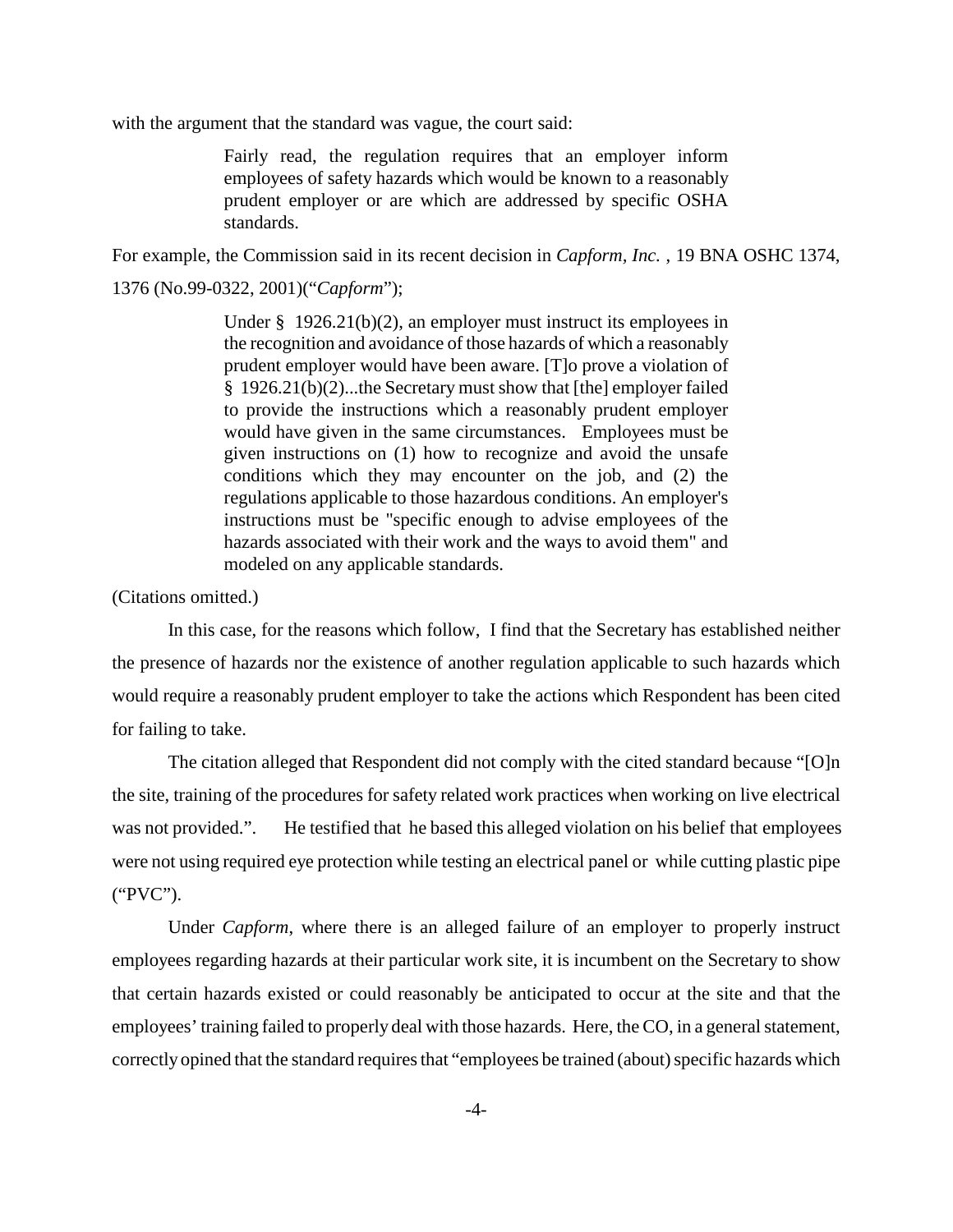with the argument that the standard was vague, the court said:

Fairly read, the regulation requires that an employer inform employees of safety hazards which would be known to a reasonably prudent employer or are which are addressed by specific OSHA standards.

For example, the Commission said in its recent decision in *Capform, Inc.* , 19 BNA OSHC 1374,

1376 (No.99-0322, 2001)("*Capform*");

Under § 1926.21(b)(2), an employer must instruct its employees in the recognition and avoidance of those hazards of which a reasonably prudent employer would have been aware. [T]o prove a violation of § 1926.21(b)(2)...the Secretary must show that [the] employer failed to provide the instructions which a reasonably prudent employer would have given in the same circumstances. Employees must be given instructions on (1) how to recognize and avoid the unsafe conditions which they may encounter on the job, and (2) the regulations applicable to those hazardous conditions. An employer's instructions must be "specific enough to advise employees of the hazards associated with their work and the ways to avoid them" and modeled on any applicable standards.

(Citations omitted.)

In this case, for the reasons which follow, I find that the Secretary has established neither the presence of hazards nor the existence of another regulation applicable to such hazards which would require a reasonably prudent employer to take the actions which Respondent has been cited for failing to take.

The citation alleged that Respondent did not comply with the cited standard because "[O]n the site, training of the procedures for safety related work practices when working on live electrical was not provided.". He testified that he based this alleged violation on his belief that employees were not using required eye protection while testing an electrical panel or while cutting plastic pipe ("PVC").

Under *Capform*, where there is an alleged failure of an employer to properly instruct employees regarding hazards at their particular work site, it is incumbent on the Secretary to show that certain hazards existed or could reasonably be anticipated to occur at the site and that the employees' training failed to properly deal with those hazards. Here, the CO, in a general statement, correctly opined that the standard requires that "employees be trained (about) specific hazards which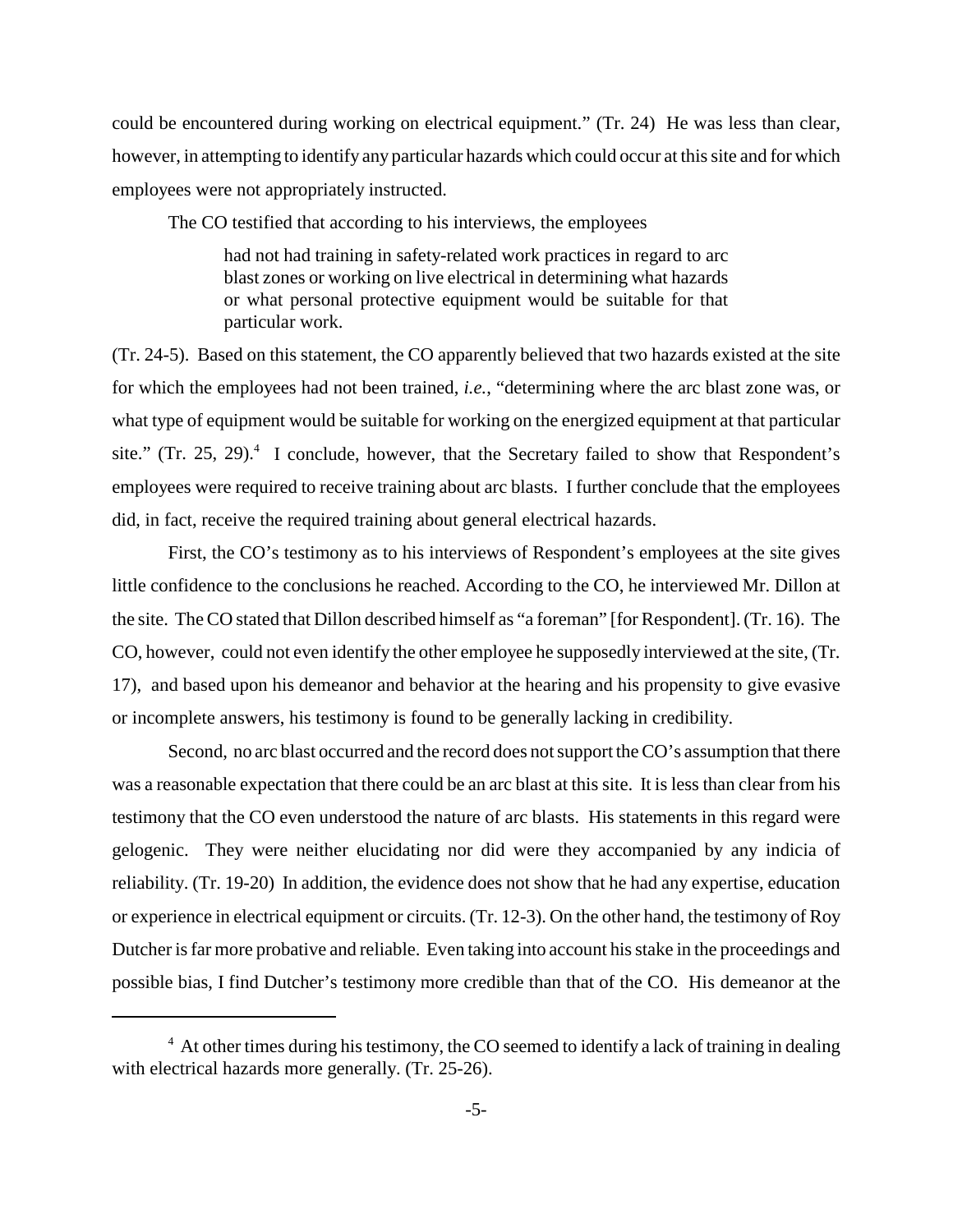could be encountered during working on electrical equipment." (Tr. 24) He was less than clear, however, in attempting to identify any particular hazards which could occur at this site and for which employees were not appropriately instructed.

The CO testified that according to his interviews, the employees

had not had training in safety-related work practices in regard to arc blast zones or working on live electrical in determining what hazards or what personal protective equipment would be suitable for that particular work.

(Tr. 24-5). Based on this statement, the CO apparently believed that two hazards existed at the site for which the employees had not been trained, *i.e.*, "determining where the arc blast zone was, or what type of equipment would be suitable for working on the energized equipment at that particular site." (Tr. 25, 29). $4$  I conclude, however, that the Secretary failed to show that Respondent's employees were required to receive training about arc blasts. I further conclude that the employees did, in fact, receive the required training about general electrical hazards.

First, the CO's testimony as to his interviews of Respondent's employees at the site gives little confidence to the conclusions he reached. According to the CO, he interviewed Mr. Dillon at the site. The CO stated that Dillon described himself as "a foreman" [for Respondent]. (Tr. 16). The CO, however, could not even identify the other employee he supposedly interviewed at the site, (Tr. 17), and based upon his demeanor and behavior at the hearing and his propensity to give evasive or incomplete answers, his testimony is found to be generally lacking in credibility.

Second, no arc blast occurred and the record does not support the CO's assumption that there was a reasonable expectation that there could be an arc blast at this site. It is less than clear from his testimony that the CO even understood the nature of arc blasts. His statements in this regard were gelogenic. They were neither elucidating nor did were they accompanied by any indicia of reliability. (Tr. 19-20) In addition, the evidence does not show that he had any expertise, education or experience in electrical equipment or circuits. (Tr. 12-3). On the other hand, the testimony of Roy Dutcher is far more probative and reliable. Even taking into account his stake in the proceedings and possible bias, I find Dutcher's testimony more credible than that of the CO. His demeanor at the

 $4\,$  At other times during his testimony, the CO seemed to identify a lack of training in dealing with electrical hazards more generally. (Tr. 25-26).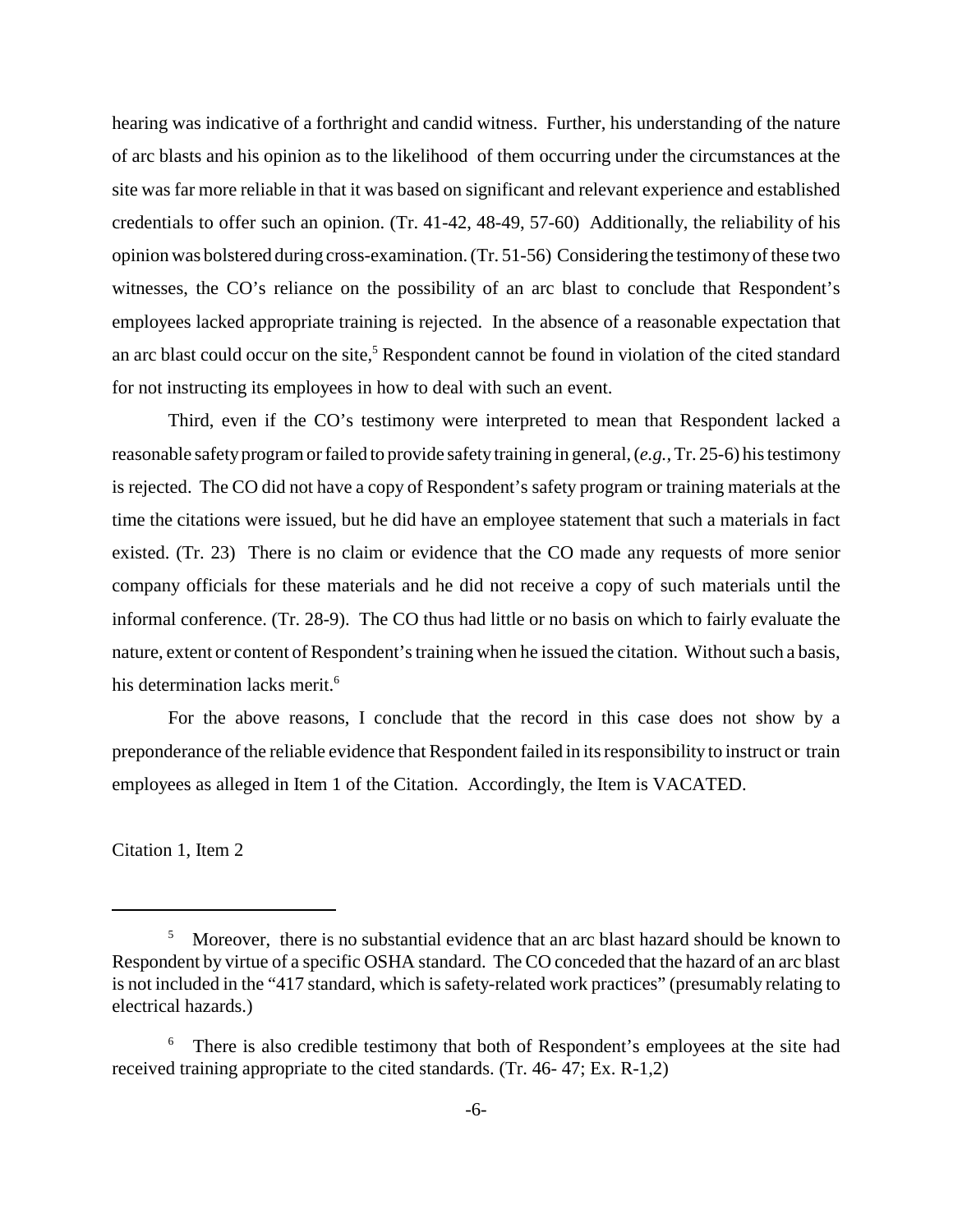hearing was indicative of a forthright and candid witness. Further, his understanding of the nature of arc blasts and his opinion as to the likelihood of them occurring under the circumstances at the site was far more reliable in that it was based on significant and relevant experience and established credentials to offer such an opinion. (Tr. 41-42, 48-49, 57-60) Additionally, the reliability of his opinion was bolstered during cross-examination. (Tr. 51-56) Considering the testimony of these two witnesses, the CO's reliance on the possibility of an arc blast to conclude that Respondent's employees lacked appropriate training is rejected. In the absence of a reasonable expectation that an arc blast could occur on the site,<sup>5</sup> Respondent cannot be found in violation of the cited standard for not instructing its employees in how to deal with such an event.

Third, even if the CO's testimony were interpreted to mean that Respondent lacked a reasonable safety program or failed to provide safety training in general, (*e.g.,* Tr. 25-6) his testimony is rejected. The CO did not have a copy of Respondent's safety program or training materials at the time the citations were issued, but he did have an employee statement that such a materials in fact existed. (Tr. 23) There is no claim or evidence that the CO made any requests of more senior company officials for these materials and he did not receive a copy of such materials until the informal conference. (Tr. 28-9). The CO thus had little or no basis on which to fairly evaluate the nature, extent or content of Respondent's training when he issued the citation. Without such a basis, his determination lacks merit.<sup>6</sup>

For the above reasons, I conclude that the record in this case does not show by a preponderance of the reliable evidence that Respondent failed in its responsibility to instruct or train employees as alleged in Item 1 of the Citation. Accordingly, the Item is VACATED.

Citation 1, Item 2

<sup>&</sup>lt;sup>5</sup> Moreover, there is no substantial evidence that an arc blast hazard should be known to Respondent by virtue of a specific OSHA standard. The CO conceded that the hazard of an arc blast is not included in the "417 standard, which is safety-related work practices" (presumably relating to electrical hazards.)

<sup>&</sup>lt;sup>6</sup> There is also credible testimony that both of Respondent's employees at the site had received training appropriate to the cited standards. (Tr. 46- 47; Ex. R-1,2)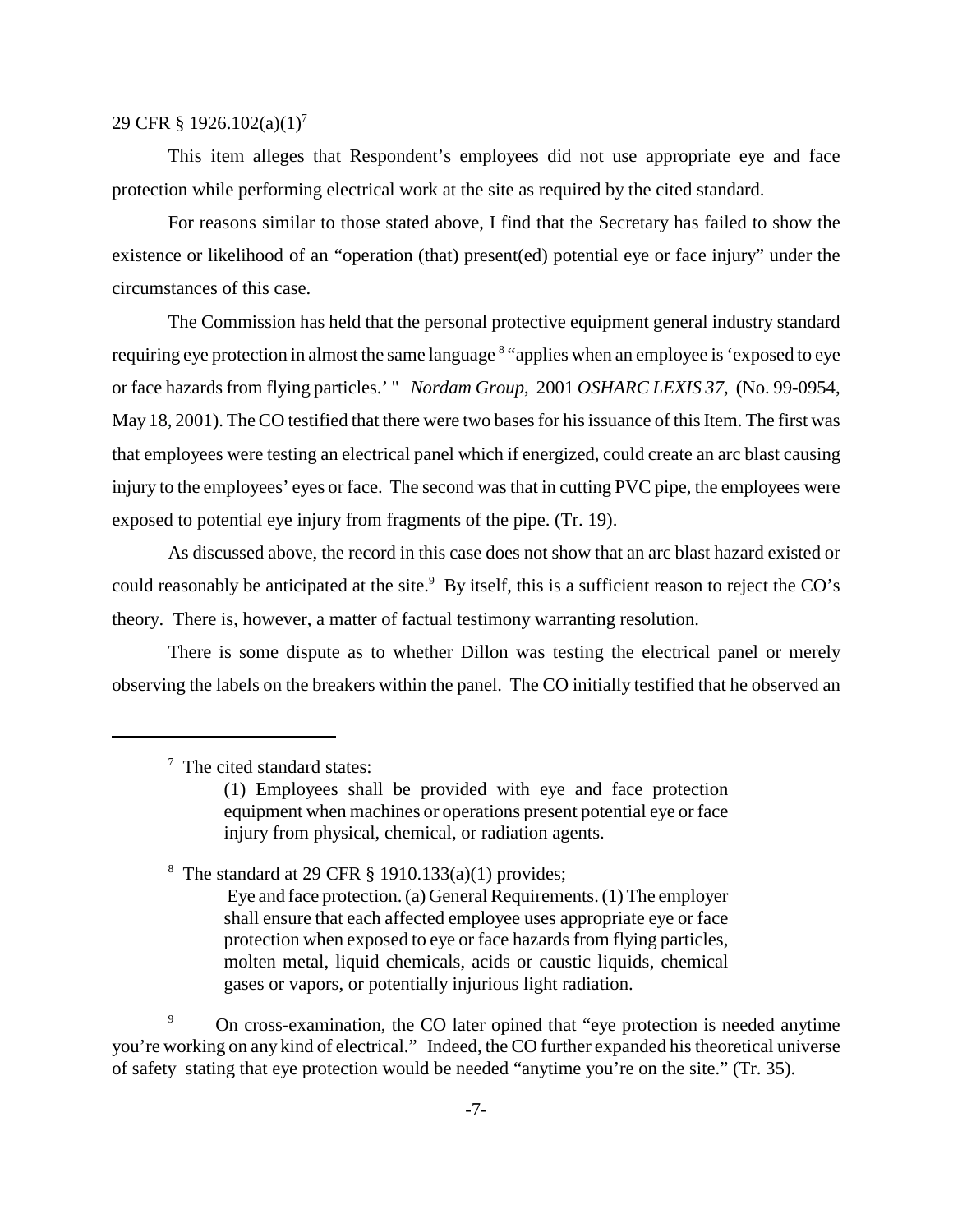### 29 CFR § 1926.102(a)(1)<sup>7</sup>

This item alleges that Respondent's employees did not use appropriate eye and face protection while performing electrical work at the site as required by the cited standard.

For reasons similar to those stated above, I find that the Secretary has failed to show the existence or likelihood of an "operation (that) present(ed) potential eye or face injury" under the circumstances of this case.

The Commission has held that the personal protective equipment general industry standard requiring eye protection in almost the same language <sup>8</sup> "applies when an employee is 'exposed to eye or face hazards from flying particles.' " *Nordam Group*, 2001 *OSHARC LEXIS 37,* (No. 99-0954, May 18, 2001). The CO testified that there were two bases for his issuance of this Item. The first was that employees were testing an electrical panel which if energized, could create an arc blast causing injury to the employees' eyes or face. The second was that in cutting PVC pipe, the employees were exposed to potential eye injury from fragments of the pipe. (Tr. 19).

As discussed above, the record in this case does not show that an arc blast hazard existed or could reasonably be anticipated at the site. $9$  By itself, this is a sufficient reason to reject the CO's theory. There is, however, a matter of factual testimony warranting resolution.

There is some dispute as to whether Dillon was testing the electrical panel or merely observing the labels on the breakers within the panel. The CO initially testified that he observed an

<sup>8</sup> The standard at 29 CFR  $\S$  1910.133(a)(1) provides;

Eye and face protection. (a) General Requirements. (1) The employer shall ensure that each affected employee uses appropriate eye or face protection when exposed to eye or face hazards from flying particles, molten metal, liquid chemicals, acids or caustic liquids, chemical gases or vapors, or potentially injurious light radiation.

<sup>9</sup> On cross-examination, the CO later opined that "eye protection is needed anytime" you're working on any kind of electrical." Indeed, the CO further expanded his theoretical universe of safety stating that eye protection would be needed "anytime you're on the site." (Tr. 35).

<sup>&</sup>lt;sup>7</sup> The cited standard states:

<sup>(1)</sup> Employees shall be provided with eye and face protection equipment when machines or operations present potential eye or face injury from physical, chemical, or radiation agents.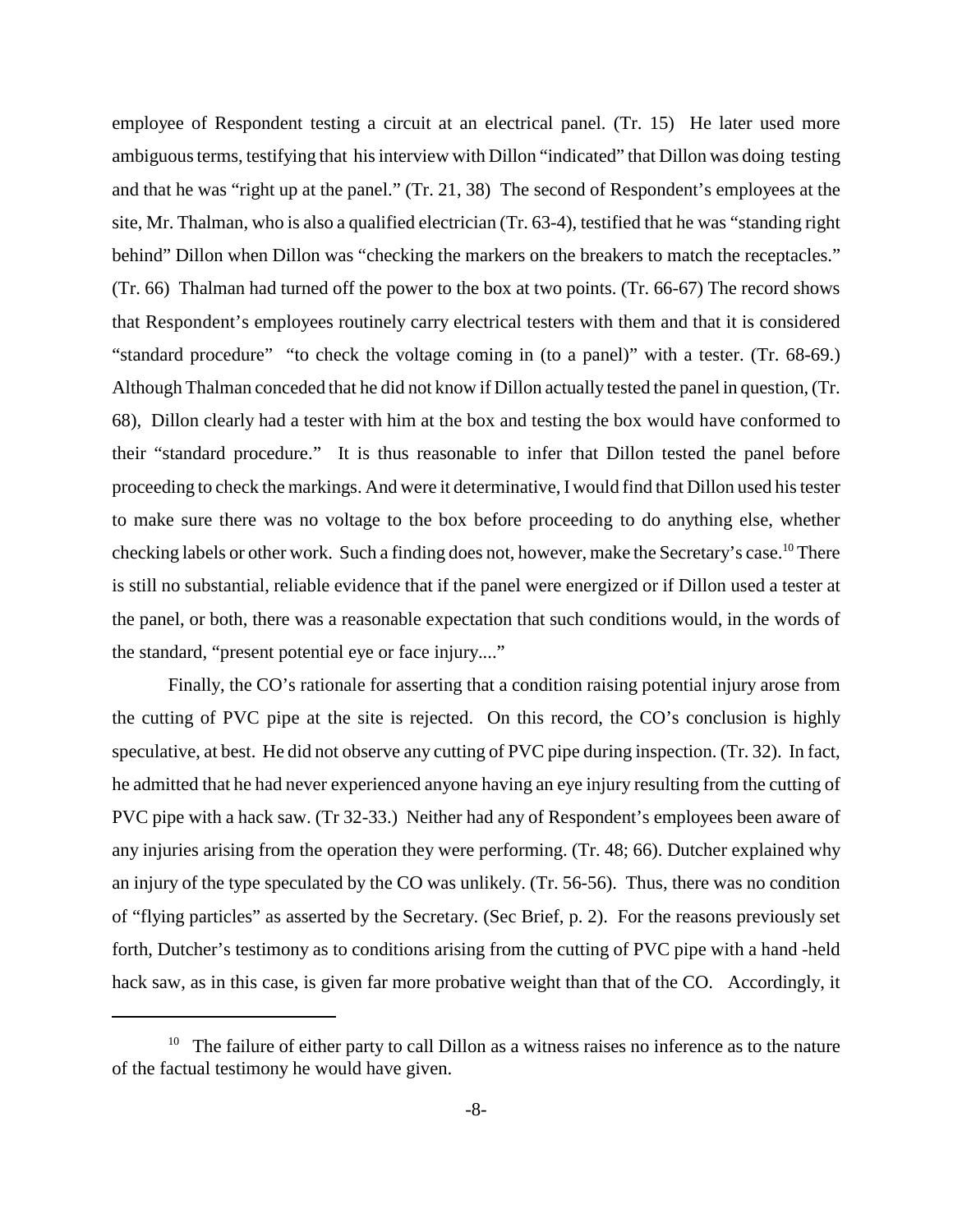employee of Respondent testing a circuit at an electrical panel. (Tr. 15) He later used more ambiguous terms, testifying that his interview with Dillon "indicated" that Dillon was doing testing and that he was "right up at the panel." (Tr. 21, 38) The second of Respondent's employees at the site, Mr. Thalman, who is also a qualified electrician (Tr. 63-4), testified that he was "standing right behind" Dillon when Dillon was "checking the markers on the breakers to match the receptacles." (Tr. 66) Thalman had turned off the power to the box at two points. (Tr. 66-67) The record shows that Respondent's employees routinely carry electrical testers with them and that it is considered "standard procedure" "to check the voltage coming in (to a panel)" with a tester. (Tr. 68-69.) Although Thalman conceded that he did not know if Dillon actually tested the panel in question, (Tr. 68), Dillon clearly had a tester with him at the box and testing the box would have conformed to their "standard procedure." It is thus reasonable to infer that Dillon tested the panel before proceeding to check the markings. And were it determinative, Iwould find that Dillon used his tester to make sure there was no voltage to the box before proceeding to do anything else, whether checking labels or other work. Such a finding does not, however, make the Secretary's case.<sup>10</sup> There is still no substantial, reliable evidence that if the panel were energized or if Dillon used a tester at the panel, or both, there was a reasonable expectation that such conditions would, in the words of the standard, "present potential eye or face injury...."

Finally, the CO's rationale for asserting that a condition raising potential injury arose from the cutting of PVC pipe at the site is rejected. On this record, the CO's conclusion is highly speculative, at best. He did not observe any cutting of PVC pipe during inspection. (Tr. 32). In fact, he admitted that he had never experienced anyone having an eye injury resulting from the cutting of PVC pipe with a hack saw. (Tr 32-33.) Neither had any of Respondent's employees been aware of any injuries arising from the operation they were performing. (Tr. 48; 66). Dutcher explained why an injury of the type speculated by the CO was unlikely. (Tr. 56-56). Thus, there was no condition of "flying particles" as asserted by the Secretary. (Sec Brief, p. 2). For the reasons previously set forth, Dutcher's testimony as to conditions arising from the cutting of PVC pipe with a hand -held hack saw, as in this case, is given far more probative weight than that of the CO. Accordingly, it

 $10$  The failure of either party to call Dillon as a witness raises no inference as to the nature of the factual testimony he would have given.